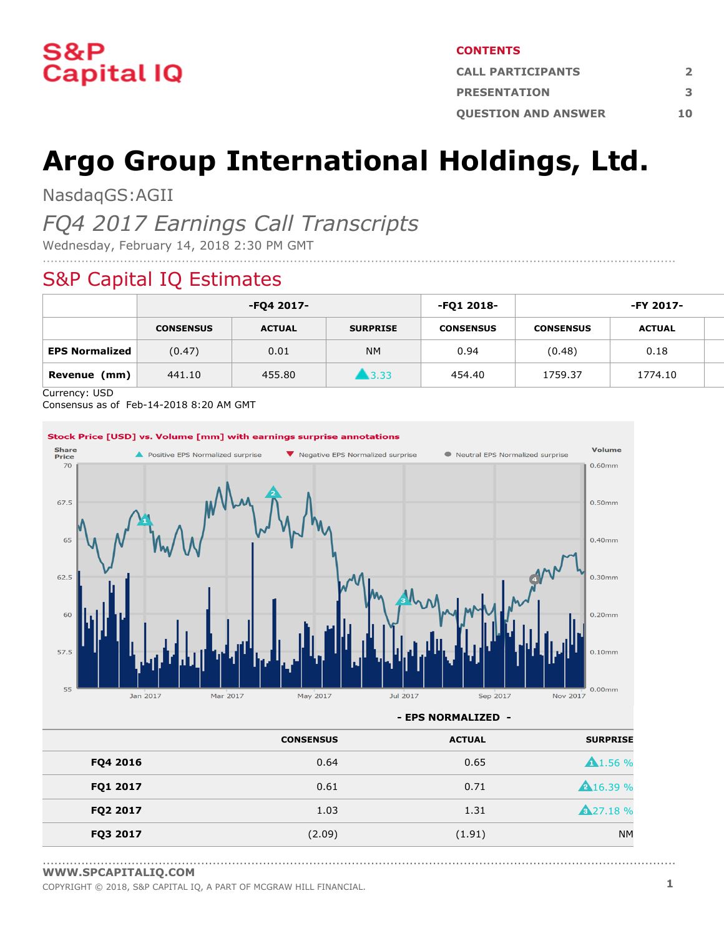

#### **CONTENTS**

| <b>CALL PARTICIPANTS</b>   |     |  |  |
|----------------------------|-----|--|--|
| <b>PRESENTATION</b>        | з   |  |  |
| <b>OUESTION AND ANSWER</b> | 1 O |  |  |

# **Argo Group International Holdings, Ltd.**

....................................................................................................................................................................

NasdaqGS:AGII

### *FQ4 2017 Earnings Call Transcripts*

Wednesday, February 14, 2018 2:30 PM GMT

### S&P Capital IQ Estimates

|                       | -FQ4 2017-       |               |                 | -FQ1 2018-       | -FY 2017-        |               |  |
|-----------------------|------------------|---------------|-----------------|------------------|------------------|---------------|--|
|                       | <b>CONSENSUS</b> | <b>ACTUAL</b> | <b>SURPRISE</b> | <b>CONSENSUS</b> | <b>CONSENSUS</b> | <b>ACTUAL</b> |  |
| <b>EPS Normalized</b> | (0.47)           | 0.01          | <b>NM</b>       | 0.94             | (0.48)           | 0.18          |  |
| (mm)<br>Revenue       | 441.10           | 455.80        | ■ 3.33          | 454.40           | 1759.37          | 1774.10       |  |

Currency: USD

Consensus as of Feb-14-2018 8:20 AM GMT



**- EPS NORMALIZED -**

....................................................................................................................................................................

|          | <b>CONSENSUS</b> | <b>ACTUAL</b> | <b>SURPRISE</b>    |
|----------|------------------|---------------|--------------------|
| FQ4 2016 | 0.64             | 0.65          | $\triangle$ 1.56 % |
| FQ1 2017 | 0.61             | 0.71          | <b>A</b> 16.39 %   |
| FQ2 2017 | 1.03             | 1.31          | <b>A</b> 27.18 %   |
| FQ3 2017 | (2.09)           | (1.91)        | <b>NM</b>          |

**[WWW.SPCAPITALIQ.COM](https://www.capitaliq.com/home.aspx)**

COPYRIGHT © 2018, S&P CAPITAL IQ, <sup>A</sup> PART OF MCGRAW HILL FINANCIAL. **1**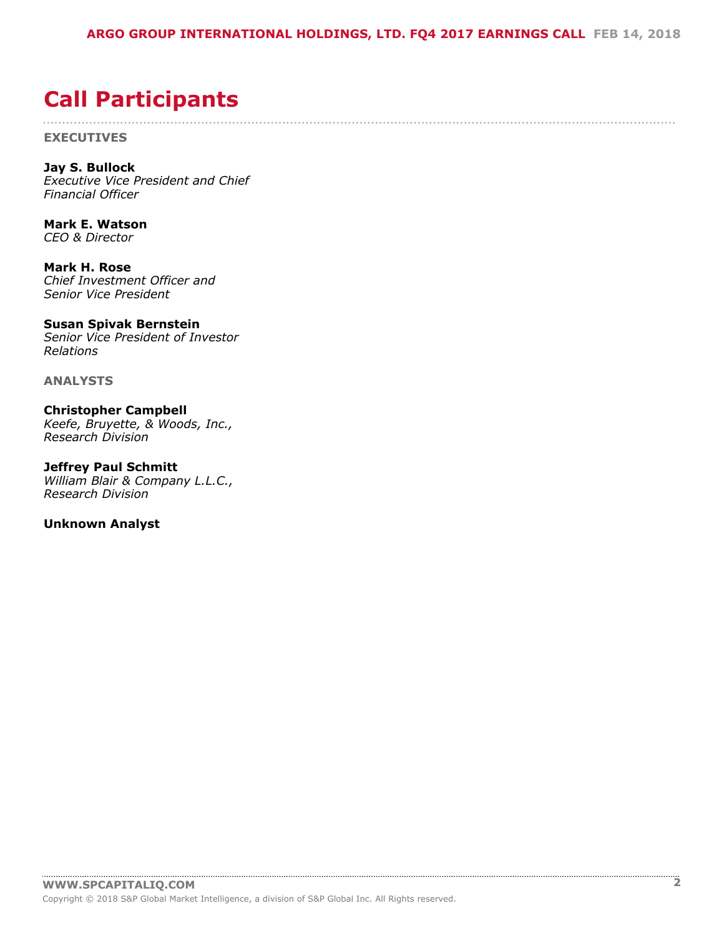....................................................................................................................................................................

## <span id="page-1-0"></span>**Call Participants**

**EXECUTIVES**

**Jay S. Bullock** *Executive Vice President and Chief Financial Officer*

**Mark E. Watson** *CEO & Director*

**Mark H. Rose** *Chief Investment Officer and Senior Vice President*

#### **Susan Spivak Bernstein**

*Senior Vice President of Investor Relations*

**ANALYSTS**

**Christopher Campbell** *Keefe, Bruyette, & Woods, Inc., Research Division*

**Jeffrey Paul Schmitt** *William Blair & Company L.L.C., Research Division*

**Unknown Analyst**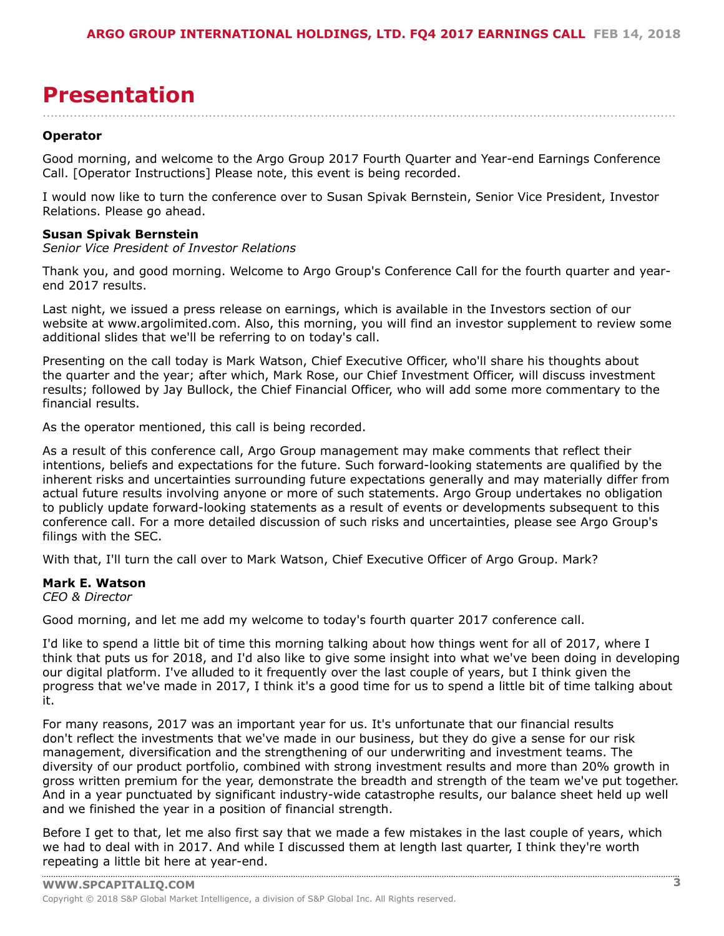## <span id="page-2-0"></span>**Presentation**

#### **Operator**

Good morning, and welcome to the Argo Group 2017 Fourth Quarter and Year-end Earnings Conference Call. [Operator Instructions] Please note, this event is being recorded.

....................................................................................................................................................................

I would now like to turn the conference over to Susan Spivak Bernstein, Senior Vice President, Investor Relations. Please go ahead.

#### **Susan Spivak Bernstein**

*Senior Vice President of Investor Relations*

Thank you, and good morning. Welcome to Argo Group's Conference Call for the fourth quarter and yearend 2017 results.

Last night, we issued a press release on earnings, which is available in the Investors section of our website at www.argolimited.com. Also, this morning, you will find an investor supplement to review some additional slides that we'll be referring to on today's call.

Presenting on the call today is Mark Watson, Chief Executive Officer, who'll share his thoughts about the quarter and the year; after which, Mark Rose, our Chief Investment Officer, will discuss investment results; followed by Jay Bullock, the Chief Financial Officer, who will add some more commentary to the financial results.

As the operator mentioned, this call is being recorded.

As a result of this conference call, Argo Group management may make comments that reflect their intentions, beliefs and expectations for the future. Such forward-looking statements are qualified by the inherent risks and uncertainties surrounding future expectations generally and may materially differ from actual future results involving anyone or more of such statements. Argo Group undertakes no obligation to publicly update forward-looking statements as a result of events or developments subsequent to this conference call. For a more detailed discussion of such risks and uncertainties, please see Argo Group's filings with the SEC.

With that, I'll turn the call over to Mark Watson, Chief Executive Officer of Argo Group. Mark?

#### **Mark E. Watson**

*CEO & Director*

Good morning, and let me add my welcome to today's fourth quarter 2017 conference call.

I'd like to spend a little bit of time this morning talking about how things went for all of 2017, where I think that puts us for 2018, and I'd also like to give some insight into what we've been doing in developing our digital platform. I've alluded to it frequently over the last couple of years, but I think given the progress that we've made in 2017, I think it's a good time for us to spend a little bit of time talking about it.

For many reasons, 2017 was an important year for us. It's unfortunate that our financial results don't reflect the investments that we've made in our business, but they do give a sense for our risk management, diversification and the strengthening of our underwriting and investment teams. The diversity of our product portfolio, combined with strong investment results and more than 20% growth in gross written premium for the year, demonstrate the breadth and strength of the team we've put together. And in a year punctuated by significant industry-wide catastrophe results, our balance sheet held up well and we finished the year in a position of financial strength.

Before I get to that, let me also first say that we made a few mistakes in the last couple of years, which we had to deal with in 2017. And while I discussed them at length last quarter, I think they're worth [repeating](www.capitaliq.com) a little bit here at year-end.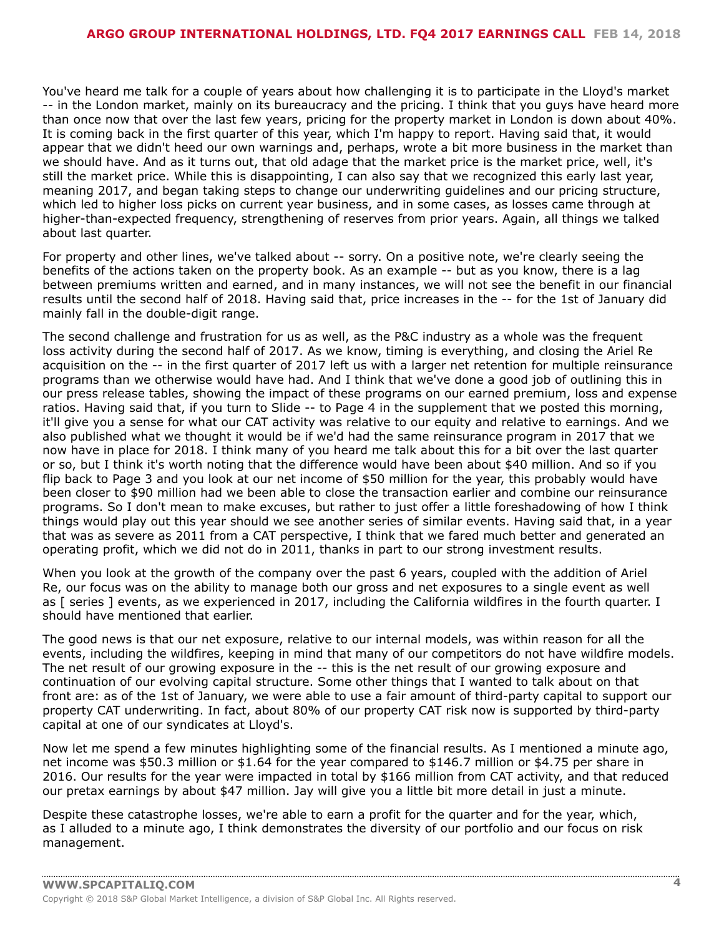You've heard me talk for a couple of years about how challenging it is to participate in the Lloyd's market -- in the London market, mainly on its bureaucracy and the pricing. I think that you guys have heard more than once now that over the last few years, pricing for the property market in London is down about 40%. It is coming back in the first quarter of this year, which I'm happy to report. Having said that, it would appear that we didn't heed our own warnings and, perhaps, wrote a bit more business in the market than we should have. And as it turns out, that old adage that the market price is the market price, well, it's still the market price. While this is disappointing, I can also say that we recognized this early last year, meaning 2017, and began taking steps to change our underwriting guidelines and our pricing structure, which led to higher loss picks on current year business, and in some cases, as losses came through at higher-than-expected frequency, strengthening of reserves from prior years. Again, all things we talked about last quarter.

For property and other lines, we've talked about -- sorry. On a positive note, we're clearly seeing the benefits of the actions taken on the property book. As an example -- but as you know, there is a lag between premiums written and earned, and in many instances, we will not see the benefit in our financial results until the second half of 2018. Having said that, price increases in the -- for the 1st of January did mainly fall in the double-digit range.

The second challenge and frustration for us as well, as the P&C industry as a whole was the frequent loss activity during the second half of 2017. As we know, timing is everything, and closing the Ariel Re acquisition on the -- in the first quarter of 2017 left us with a larger net retention for multiple reinsurance programs than we otherwise would have had. And I think that we've done a good job of outlining this in our press release tables, showing the impact of these programs on our earned premium, loss and expense ratios. Having said that, if you turn to Slide -- to Page 4 in the supplement that we posted this morning, it'll give you a sense for what our CAT activity was relative to our equity and relative to earnings. And we also published what we thought it would be if we'd had the same reinsurance program in 2017 that we now have in place for 2018. I think many of you heard me talk about this for a bit over the last quarter or so, but I think it's worth noting that the difference would have been about \$40 million. And so if you flip back to Page 3 and you look at our net income of \$50 million for the year, this probably would have been closer to \$90 million had we been able to close the transaction earlier and combine our reinsurance programs. So I don't mean to make excuses, but rather to just offer a little foreshadowing of how I think things would play out this year should we see another series of similar events. Having said that, in a year that was as severe as 2011 from a CAT perspective, I think that we fared much better and generated an operating profit, which we did not do in 2011, thanks in part to our strong investment results.

When you look at the growth of the company over the past 6 years, coupled with the addition of Ariel Re, our focus was on the ability to manage both our gross and net exposures to a single event as well as [ series ] events, as we experienced in 2017, including the California wildfires in the fourth quarter. I should have mentioned that earlier.

The good news is that our net exposure, relative to our internal models, was within reason for all the events, including the wildfires, keeping in mind that many of our competitors do not have wildfire models. The net result of our growing exposure in the -- this is the net result of our growing exposure and continuation of our evolving capital structure. Some other things that I wanted to talk about on that front are: as of the 1st of January, we were able to use a fair amount of third-party capital to support our property CAT underwriting. In fact, about 80% of our property CAT risk now is supported by third-party capital at one of our syndicates at Lloyd's.

Now let me spend a few minutes highlighting some of the financial results. As I mentioned a minute ago, net income was \$50.3 million or \$1.64 for the year compared to \$146.7 million or \$4.75 per share in 2016. Our results for the year were impacted in total by \$166 million from CAT activity, and that reduced our pretax earnings by about \$47 million. Jay will give you a little bit more detail in just a minute.

Despite these catastrophe losses, we're able to earn a profit for the quarter and for the year, which, as I alluded to a minute ago, I think demonstrates the diversity of our portfolio and our focus on risk management.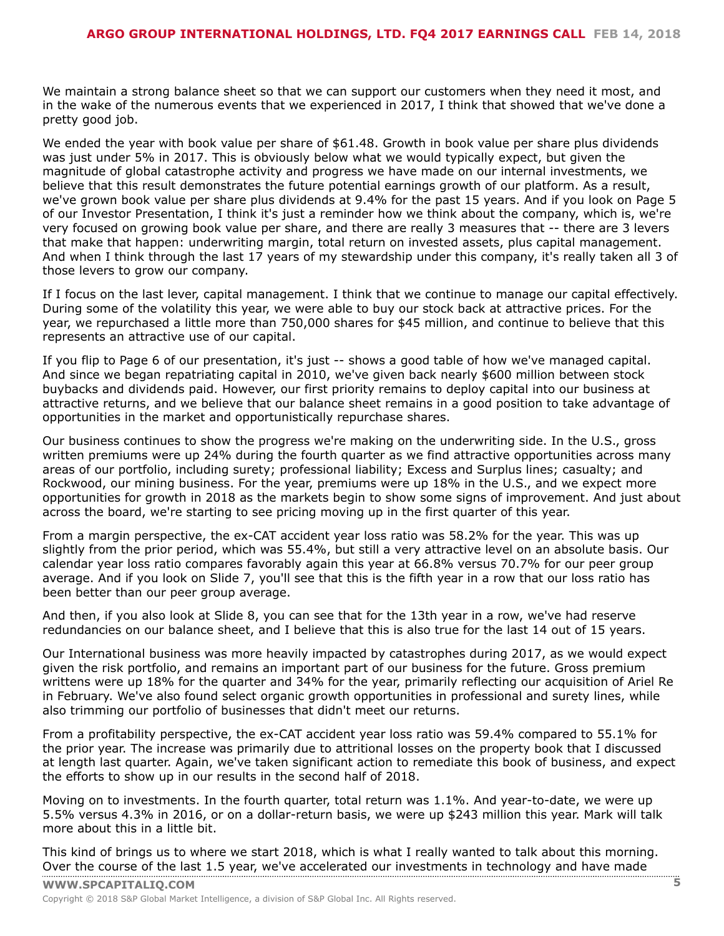We maintain a strong balance sheet so that we can support our customers when they need it most, and in the wake of the numerous events that we experienced in 2017, I think that showed that we've done a pretty good job.

We ended the year with book value per share of \$61.48. Growth in book value per share plus dividends was just under 5% in 2017. This is obviously below what we would typically expect, but given the magnitude of global catastrophe activity and progress we have made on our internal investments, we believe that this result demonstrates the future potential earnings growth of our platform. As a result, we've grown book value per share plus dividends at 9.4% for the past 15 years. And if you look on Page 5 of our Investor Presentation, I think it's just a reminder how we think about the company, which is, we're very focused on growing book value per share, and there are really 3 measures that -- there are 3 levers that make that happen: underwriting margin, total return on invested assets, plus capital management. And when I think through the last 17 years of my stewardship under this company, it's really taken all 3 of those levers to grow our company.

If I focus on the last lever, capital management. I think that we continue to manage our capital effectively. During some of the volatility this year, we were able to buy our stock back at attractive prices. For the year, we repurchased a little more than 750,000 shares for \$45 million, and continue to believe that this represents an attractive use of our capital.

If you flip to Page 6 of our presentation, it's just -- shows a good table of how we've managed capital. And since we began repatriating capital in 2010, we've given back nearly \$600 million between stock buybacks and dividends paid. However, our first priority remains to deploy capital into our business at attractive returns, and we believe that our balance sheet remains in a good position to take advantage of opportunities in the market and opportunistically repurchase shares.

Our business continues to show the progress we're making on the underwriting side. In the U.S., gross written premiums were up 24% during the fourth quarter as we find attractive opportunities across many areas of our portfolio, including surety; professional liability; Excess and Surplus lines; casualty; and Rockwood, our mining business. For the year, premiums were up 18% in the U.S., and we expect more opportunities for growth in 2018 as the markets begin to show some signs of improvement. And just about across the board, we're starting to see pricing moving up in the first quarter of this year.

From a margin perspective, the ex-CAT accident year loss ratio was 58.2% for the year. This was up slightly from the prior period, which was 55.4%, but still a very attractive level on an absolute basis. Our calendar year loss ratio compares favorably again this year at 66.8% versus 70.7% for our peer group average. And if you look on Slide 7, you'll see that this is the fifth year in a row that our loss ratio has been better than our peer group average.

And then, if you also look at Slide 8, you can see that for the 13th year in a row, we've had reserve redundancies on our balance sheet, and I believe that this is also true for the last 14 out of 15 years.

Our International business was more heavily impacted by catastrophes during 2017, as we would expect given the risk portfolio, and remains an important part of our business for the future. Gross premium writtens were up 18% for the quarter and 34% for the year, primarily reflecting our acquisition of Ariel Re in February. We've also found select organic growth opportunities in professional and surety lines, while also trimming our portfolio of businesses that didn't meet our returns.

From a profitability perspective, the ex-CAT accident year loss ratio was 59.4% compared to 55.1% for the prior year. The increase was primarily due to attritional losses on the property book that I discussed at length last quarter. Again, we've taken significant action to remediate this book of business, and expect the efforts to show up in our results in the second half of 2018.

Moving on to investments. In the fourth quarter, total return was 1.1%. And year-to-date, we were up 5.5% versus 4.3% in 2016, or on a dollar-return basis, we were up \$243 million this year. Mark will talk more about this in a little bit.

This kind of brings us to where we start 2018, which is what I really wanted to talk about this morning. Over the [course](www.capitaliq.com) of the last 1.5 year, we've accelerated our investments in technology and have made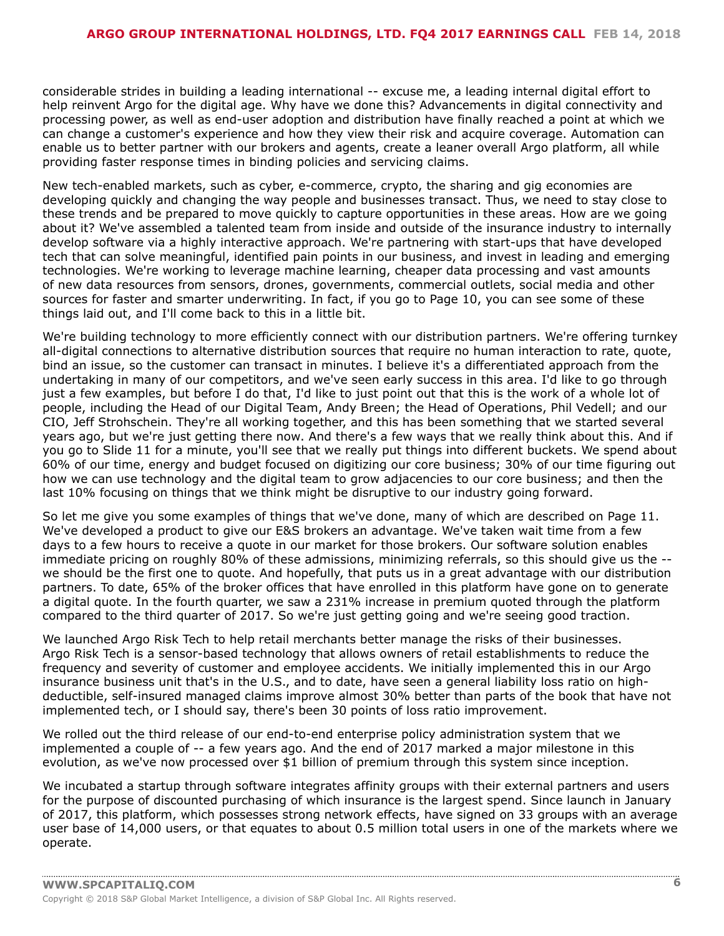considerable strides in building a leading international -- excuse me, a leading internal digital effort to help reinvent Argo for the digital age. Why have we done this? Advancements in digital connectivity and processing power, as well as end-user adoption and distribution have finally reached a point at which we can change a customer's experience and how they view their risk and acquire coverage. Automation can enable us to better partner with our brokers and agents, create a leaner overall Argo platform, all while providing faster response times in binding policies and servicing claims.

New tech-enabled markets, such as cyber, e-commerce, crypto, the sharing and gig economies are developing quickly and changing the way people and businesses transact. Thus, we need to stay close to these trends and be prepared to move quickly to capture opportunities in these areas. How are we going about it? We've assembled a talented team from inside and outside of the insurance industry to internally develop software via a highly interactive approach. We're partnering with start-ups that have developed tech that can solve meaningful, identified pain points in our business, and invest in leading and emerging technologies. We're working to leverage machine learning, cheaper data processing and vast amounts of new data resources from sensors, drones, governments, commercial outlets, social media and other sources for faster and smarter underwriting. In fact, if you go to Page 10, you can see some of these things laid out, and I'll come back to this in a little bit.

We're building technology to more efficiently connect with our distribution partners. We're offering turnkey all-digital connections to alternative distribution sources that require no human interaction to rate, quote, bind an issue, so the customer can transact in minutes. I believe it's a differentiated approach from the undertaking in many of our competitors, and we've seen early success in this area. I'd like to go through just a few examples, but before I do that, I'd like to just point out that this is the work of a whole lot of people, including the Head of our Digital Team, Andy Breen; the Head of Operations, Phil Vedell; and our CIO, Jeff Strohschein. They're all working together, and this has been something that we started several years ago, but we're just getting there now. And there's a few ways that we really think about this. And if you go to Slide 11 for a minute, you'll see that we really put things into different buckets. We spend about 60% of our time, energy and budget focused on digitizing our core business; 30% of our time figuring out how we can use technology and the digital team to grow adjacencies to our core business; and then the last 10% focusing on things that we think might be disruptive to our industry going forward.

So let me give you some examples of things that we've done, many of which are described on Page 11. We've developed a product to give our E&S brokers an advantage. We've taken wait time from a few days to a few hours to receive a quote in our market for those brokers. Our software solution enables immediate pricing on roughly 80% of these admissions, minimizing referrals, so this should give us the - we should be the first one to quote. And hopefully, that puts us in a great advantage with our distribution partners. To date, 65% of the broker offices that have enrolled in this platform have gone on to generate a digital quote. In the fourth quarter, we saw a 231% increase in premium quoted through the platform compared to the third quarter of 2017. So we're just getting going and we're seeing good traction.

We launched Argo Risk Tech to help retail merchants better manage the risks of their businesses. Argo Risk Tech is a sensor-based technology that allows owners of retail establishments to reduce the frequency and severity of customer and employee accidents. We initially implemented this in our Argo insurance business unit that's in the U.S., and to date, have seen a general liability loss ratio on highdeductible, self-insured managed claims improve almost 30% better than parts of the book that have not implemented tech, or I should say, there's been 30 points of loss ratio improvement.

We rolled out the third release of our end-to-end enterprise policy administration system that we implemented a couple of -- a few years ago. And the end of 2017 marked a major milestone in this evolution, as we've now processed over \$1 billion of premium through this system since inception.

We incubated a startup through software integrates affinity groups with their external partners and users for the purpose of discounted purchasing of which insurance is the largest spend. Since launch in January of 2017, this platform, which possesses strong network effects, have signed on 33 groups with an average user base of 14,000 users, or that equates to about 0.5 million total users in one of the markets where we operate.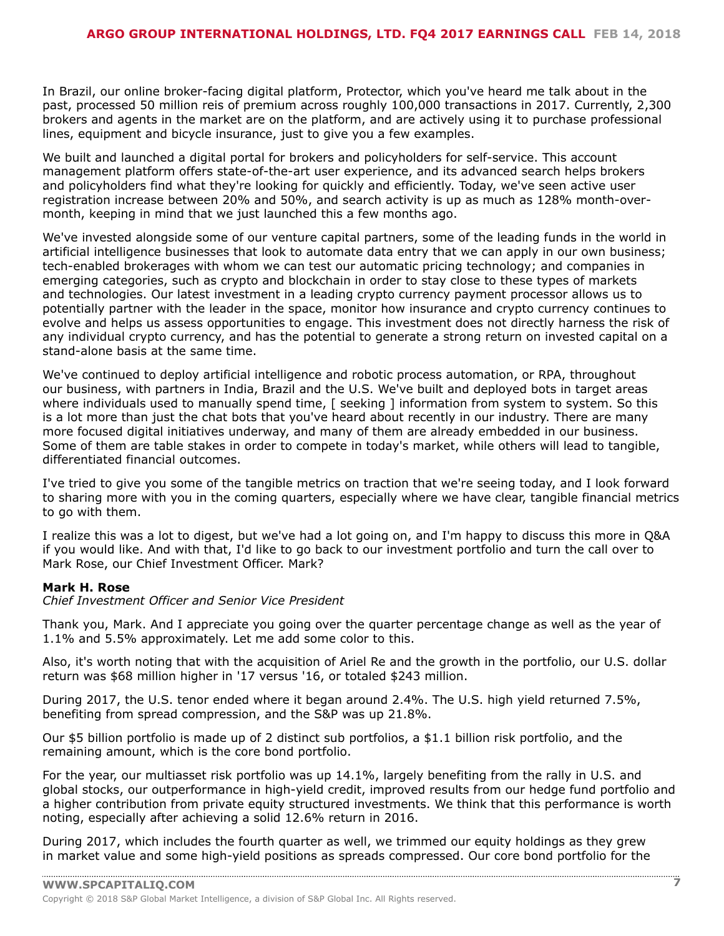In Brazil, our online broker-facing digital platform, Protector, which you've heard me talk about in the past, processed 50 million reis of premium across roughly 100,000 transactions in 2017. Currently, 2,300 brokers and agents in the market are on the platform, and are actively using it to purchase professional lines, equipment and bicycle insurance, just to give you a few examples.

We built and launched a digital portal for brokers and policyholders for self-service. This account management platform offers state-of-the-art user experience, and its advanced search helps brokers and policyholders find what they're looking for quickly and efficiently. Today, we've seen active user registration increase between 20% and 50%, and search activity is up as much as 128% month-overmonth, keeping in mind that we just launched this a few months ago.

We've invested alongside some of our venture capital partners, some of the leading funds in the world in artificial intelligence businesses that look to automate data entry that we can apply in our own business; tech-enabled brokerages with whom we can test our automatic pricing technology; and companies in emerging categories, such as crypto and blockchain in order to stay close to these types of markets and technologies. Our latest investment in a leading crypto currency payment processor allows us to potentially partner with the leader in the space, monitor how insurance and crypto currency continues to evolve and helps us assess opportunities to engage. This investment does not directly harness the risk of any individual crypto currency, and has the potential to generate a strong return on invested capital on a stand-alone basis at the same time.

We've continued to deploy artificial intelligence and robotic process automation, or RPA, throughout our business, with partners in India, Brazil and the U.S. We've built and deployed bots in target areas where individuals used to manually spend time, [ seeking ] information from system to system. So this is a lot more than just the chat bots that you've heard about recently in our industry. There are many more focused digital initiatives underway, and many of them are already embedded in our business. Some of them are table stakes in order to compete in today's market, while others will lead to tangible, differentiated financial outcomes.

I've tried to give you some of the tangible metrics on traction that we're seeing today, and I look forward to sharing more with you in the coming quarters, especially where we have clear, tangible financial metrics to go with them.

I realize this was a lot to digest, but we've had a lot going on, and I'm happy to discuss this more in Q&A if you would like. And with that, I'd like to go back to our investment portfolio and turn the call over to Mark Rose, our Chief Investment Officer. Mark?

#### **Mark H. Rose**

*Chief Investment Officer and Senior Vice President*

Thank you, Mark. And I appreciate you going over the quarter percentage change as well as the year of 1.1% and 5.5% approximately. Let me add some color to this.

Also, it's worth noting that with the acquisition of Ariel Re and the growth in the portfolio, our U.S. dollar return was \$68 million higher in '17 versus '16, or totaled \$243 million.

During 2017, the U.S. tenor ended where it began around 2.4%. The U.S. high yield returned 7.5%, benefiting from spread compression, and the S&P was up 21.8%.

Our \$5 billion portfolio is made up of 2 distinct sub portfolios, a \$1.1 billion risk portfolio, and the remaining amount, which is the core bond portfolio.

For the year, our multiasset risk portfolio was up 14.1%, largely benefiting from the rally in U.S. and global stocks, our outperformance in high-yield credit, improved results from our hedge fund portfolio and a higher contribution from private equity structured investments. We think that this performance is worth noting, especially after achieving a solid 12.6% return in 2016.

During 2017, which includes the fourth quarter as well, we trimmed our equity holdings as they grew in market value and some high-yield positions as spreads compressed. Our core bond portfolio for the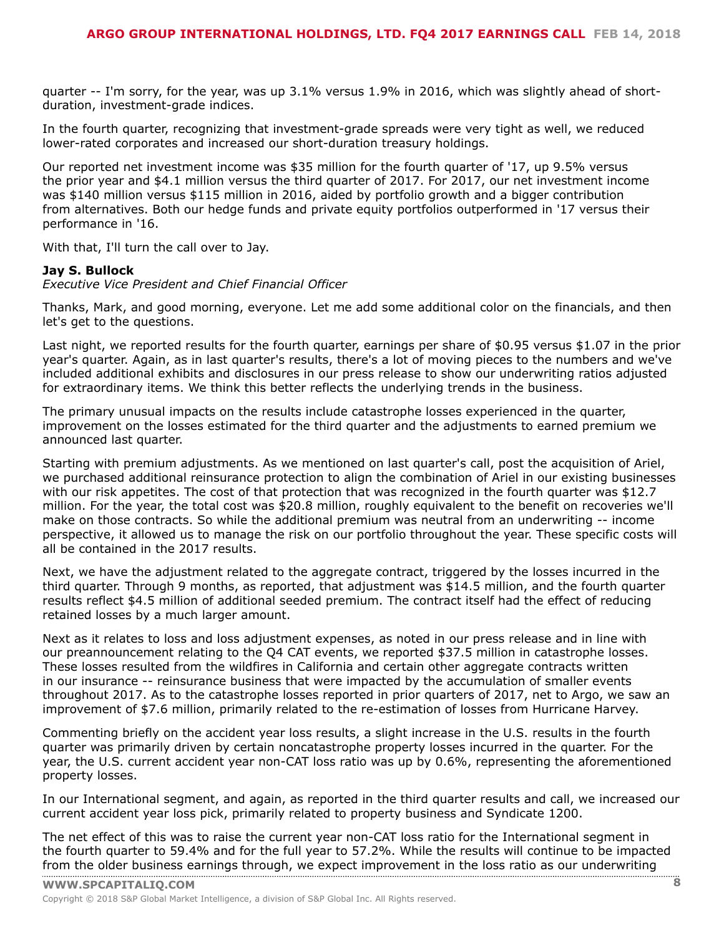quarter -- I'm sorry, for the year, was up 3.1% versus 1.9% in 2016, which was slightly ahead of shortduration, investment-grade indices.

In the fourth quarter, recognizing that investment-grade spreads were very tight as well, we reduced lower-rated corporates and increased our short-duration treasury holdings.

Our reported net investment income was \$35 million for the fourth quarter of '17, up 9.5% versus the prior year and \$4.1 million versus the third quarter of 2017. For 2017, our net investment income was \$140 million versus \$115 million in 2016, aided by portfolio growth and a bigger contribution from alternatives. Both our hedge funds and private equity portfolios outperformed in '17 versus their performance in '16.

With that, I'll turn the call over to Jay.

#### **Jay S. Bullock**

*Executive Vice President and Chief Financial Officer*

Thanks, Mark, and good morning, everyone. Let me add some additional color on the financials, and then let's get to the questions.

Last night, we reported results for the fourth quarter, earnings per share of \$0.95 versus \$1.07 in the prior year's quarter. Again, as in last quarter's results, there's a lot of moving pieces to the numbers and we've included additional exhibits and disclosures in our press release to show our underwriting ratios adjusted for extraordinary items. We think this better reflects the underlying trends in the business.

The primary unusual impacts on the results include catastrophe losses experienced in the quarter, improvement on the losses estimated for the third quarter and the adjustments to earned premium we announced last quarter.

Starting with premium adjustments. As we mentioned on last quarter's call, post the acquisition of Ariel, we purchased additional reinsurance protection to align the combination of Ariel in our existing businesses with our risk appetites. The cost of that protection that was recognized in the fourth quarter was \$12.7 million. For the year, the total cost was \$20.8 million, roughly equivalent to the benefit on recoveries we'll make on those contracts. So while the additional premium was neutral from an underwriting -- income perspective, it allowed us to manage the risk on our portfolio throughout the year. These specific costs will all be contained in the 2017 results.

Next, we have the adjustment related to the aggregate contract, triggered by the losses incurred in the third quarter. Through 9 months, as reported, that adjustment was \$14.5 million, and the fourth quarter results reflect \$4.5 million of additional seeded premium. The contract itself had the effect of reducing retained losses by a much larger amount.

Next as it relates to loss and loss adjustment expenses, as noted in our press release and in line with our preannouncement relating to the Q4 CAT events, we reported \$37.5 million in catastrophe losses. These losses resulted from the wildfires in California and certain other aggregate contracts written in our insurance -- reinsurance business that were impacted by the accumulation of smaller events throughout 2017. As to the catastrophe losses reported in prior quarters of 2017, net to Argo, we saw an improvement of \$7.6 million, primarily related to the re-estimation of losses from Hurricane Harvey.

Commenting briefly on the accident year loss results, a slight increase in the U.S. results in the fourth quarter was primarily driven by certain noncatastrophe property losses incurred in the quarter. For the year, the U.S. current accident year non-CAT loss ratio was up by 0.6%, representing the aforementioned property losses.

In our International segment, and again, as reported in the third quarter results and call, we increased our current accident year loss pick, primarily related to property business and Syndicate 1200.

The net effect of this was to raise the current year non-CAT loss ratio for the International segment in the fourth quarter to 59.4% and for the full year to 57.2%. While the results will continue to be impacted from the older [business](www.capitaliq.com) earnings through, we expect improvement in the loss ratio as our underwriting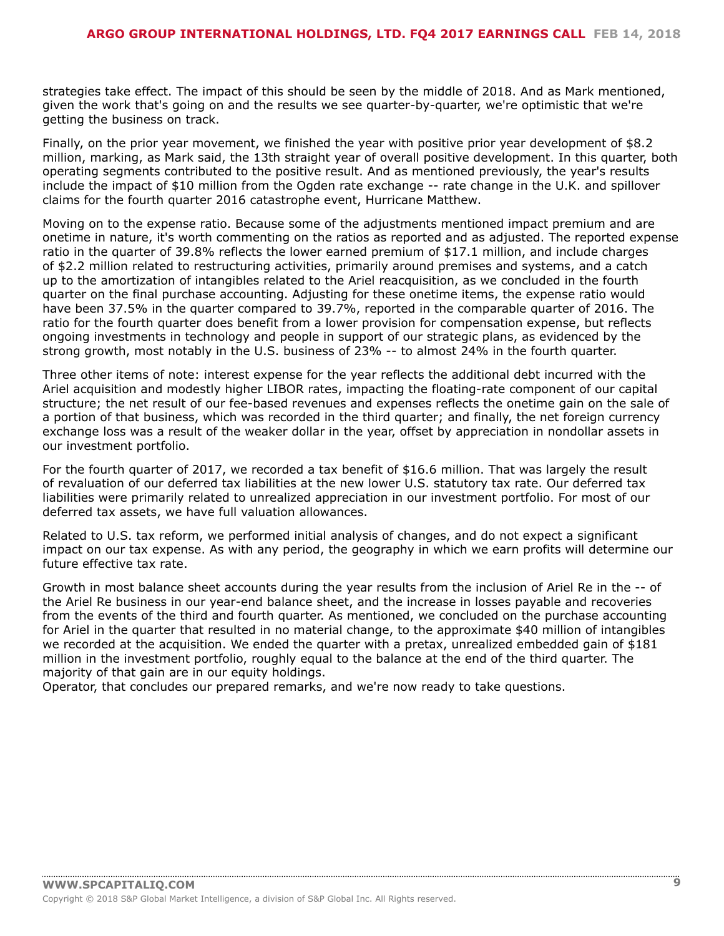strategies take effect. The impact of this should be seen by the middle of 2018. And as Mark mentioned, given the work that's going on and the results we see quarter-by-quarter, we're optimistic that we're getting the business on track.

Finally, on the prior year movement, we finished the year with positive prior year development of \$8.2 million, marking, as Mark said, the 13th straight year of overall positive development. In this quarter, both operating segments contributed to the positive result. And as mentioned previously, the year's results include the impact of \$10 million from the Ogden rate exchange -- rate change in the U.K. and spillover claims for the fourth quarter 2016 catastrophe event, Hurricane Matthew.

Moving on to the expense ratio. Because some of the adjustments mentioned impact premium and are onetime in nature, it's worth commenting on the ratios as reported and as adjusted. The reported expense ratio in the quarter of 39.8% reflects the lower earned premium of \$17.1 million, and include charges of \$2.2 million related to restructuring activities, primarily around premises and systems, and a catch up to the amortization of intangibles related to the Ariel reacquisition, as we concluded in the fourth quarter on the final purchase accounting. Adjusting for these onetime items, the expense ratio would have been 37.5% in the quarter compared to 39.7%, reported in the comparable quarter of 2016. The ratio for the fourth quarter does benefit from a lower provision for compensation expense, but reflects ongoing investments in technology and people in support of our strategic plans, as evidenced by the strong growth, most notably in the U.S. business of 23% -- to almost 24% in the fourth quarter.

Three other items of note: interest expense for the year reflects the additional debt incurred with the Ariel acquisition and modestly higher LIBOR rates, impacting the floating-rate component of our capital structure; the net result of our fee-based revenues and expenses reflects the onetime gain on the sale of a portion of that business, which was recorded in the third quarter; and finally, the net foreign currency exchange loss was a result of the weaker dollar in the year, offset by appreciation in nondollar assets in our investment portfolio.

For the fourth quarter of 2017, we recorded a tax benefit of \$16.6 million. That was largely the result of revaluation of our deferred tax liabilities at the new lower U.S. statutory tax rate. Our deferred tax liabilities were primarily related to unrealized appreciation in our investment portfolio. For most of our deferred tax assets, we have full valuation allowances.

Related to U.S. tax reform, we performed initial analysis of changes, and do not expect a significant impact on our tax expense. As with any period, the geography in which we earn profits will determine our future effective tax rate.

Growth in most balance sheet accounts during the year results from the inclusion of Ariel Re in the -- of the Ariel Re business in our year-end balance sheet, and the increase in losses payable and recoveries from the events of the third and fourth quarter. As mentioned, we concluded on the purchase accounting for Ariel in the quarter that resulted in no material change, to the approximate \$40 million of intangibles we recorded at the acquisition. We ended the quarter with a pretax, unrealized embedded gain of \$181 million in the investment portfolio, roughly equal to the balance at the end of the third quarter. The majority of that gain are in our equity holdings.

Operator, that concludes our prepared remarks, and we're now ready to take questions.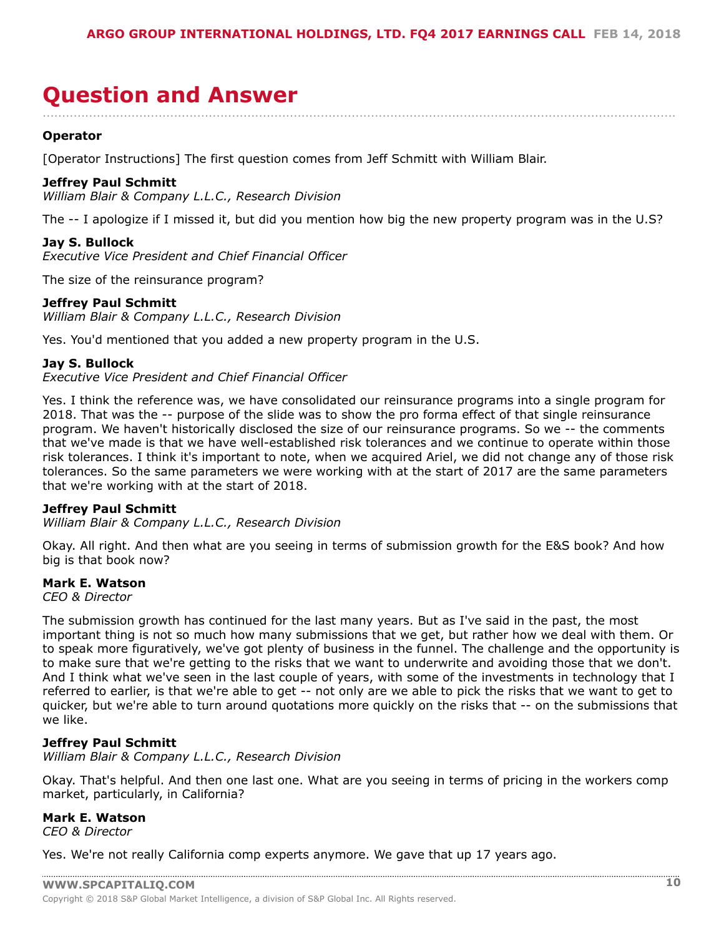### <span id="page-9-0"></span>**Question and Answer** ....................................................................................................................................................................

#### **Operator**

[Operator Instructions] The first question comes from Jeff Schmitt with William Blair.

#### **Jeffrey Paul Schmitt**

*William Blair & Company L.L.C., Research Division*

The -- I apologize if I missed it, but did you mention how big the new property program was in the U.S?

#### **Jay S. Bullock**

*Executive Vice President and Chief Financial Officer*

The size of the reinsurance program?

#### **Jeffrey Paul Schmitt**

*William Blair & Company L.L.C., Research Division*

Yes. You'd mentioned that you added a new property program in the U.S.

#### **Jay S. Bullock**

*Executive Vice President and Chief Financial Officer*

Yes. I think the reference was, we have consolidated our reinsurance programs into a single program for 2018. That was the -- purpose of the slide was to show the pro forma effect of that single reinsurance program. We haven't historically disclosed the size of our reinsurance programs. So we -- the comments that we've made is that we have well-established risk tolerances and we continue to operate within those risk tolerances. I think it's important to note, when we acquired Ariel, we did not change any of those risk tolerances. So the same parameters we were working with at the start of 2017 are the same parameters that we're working with at the start of 2018.

#### **Jeffrey Paul Schmitt**

*William Blair & Company L.L.C., Research Division*

Okay. All right. And then what are you seeing in terms of submission growth for the E&S book? And how big is that book now?

#### **Mark E. Watson**

*CEO & Director*

The submission growth has continued for the last many years. But as I've said in the past, the most important thing is not so much how many submissions that we get, but rather how we deal with them. Or to speak more figuratively, we've got plenty of business in the funnel. The challenge and the opportunity is to make sure that we're getting to the risks that we want to underwrite and avoiding those that we don't. And I think what we've seen in the last couple of years, with some of the investments in technology that I referred to earlier, is that we're able to get -- not only are we able to pick the risks that we want to get to quicker, but we're able to turn around quotations more quickly on the risks that -- on the submissions that we like.

#### **Jeffrey Paul Schmitt**

*William Blair & Company L.L.C., Research Division*

Okay. That's helpful. And then one last one. What are you seeing in terms of pricing in the workers comp market, particularly, in California?

#### **Mark E. Watson**

*CEO & Director*

Yes. We're not really California comp experts anymore. We gave that up 17 years ago.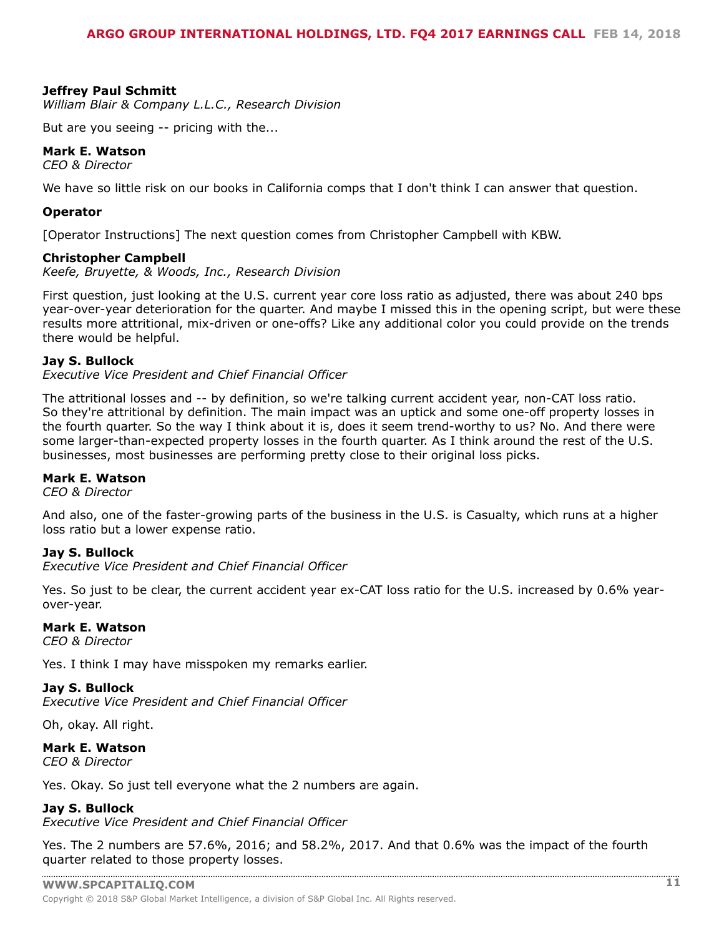#### **Jeffrey Paul Schmitt**

*William Blair & Company L.L.C., Research Division*

But are you seeing -- pricing with the...

#### **Mark E. Watson**

*CEO & Director*

We have so little risk on our books in California comps that I don't think I can answer that question.

#### **Operator**

[Operator Instructions] The next question comes from Christopher Campbell with KBW.

#### **Christopher Campbell**

*Keefe, Bruyette, & Woods, Inc., Research Division*

First question, just looking at the U.S. current year core loss ratio as adjusted, there was about 240 bps year-over-year deterioration for the quarter. And maybe I missed this in the opening script, but were these results more attritional, mix-driven or one-offs? Like any additional color you could provide on the trends there would be helpful.

#### **Jay S. Bullock**

*Executive Vice President and Chief Financial Officer*

The attritional losses and -- by definition, so we're talking current accident year, non-CAT loss ratio. So they're attritional by definition. The main impact was an uptick and some one-off property losses in the fourth quarter. So the way I think about it is, does it seem trend-worthy to us? No. And there were some larger-than-expected property losses in the fourth quarter. As I think around the rest of the U.S. businesses, most businesses are performing pretty close to their original loss picks.

#### **Mark E. Watson**

*CEO & Director*

And also, one of the faster-growing parts of the business in the U.S. is Casualty, which runs at a higher loss ratio but a lower expense ratio.

#### **Jay S. Bullock**

*Executive Vice President and Chief Financial Officer*

Yes. So just to be clear, the current accident year ex-CAT loss ratio for the U.S. increased by 0.6% yearover-year.

#### **Mark E. Watson**

*CEO & Director*

Yes. I think I may have misspoken my remarks earlier.

#### **Jay S. Bullock**

*Executive Vice President and Chief Financial Officer*

Oh, okay. All right.

#### **Mark E. Watson**

*CEO & Director*

Yes. Okay. So just tell everyone what the 2 numbers are again.

#### **Jay S. Bullock**

*Executive Vice President and Chief Financial Officer*

Yes. The 2 numbers are 57.6%, 2016; and 58.2%, 2017. And that 0.6% was the impact of the fourth quarter related to those property losses.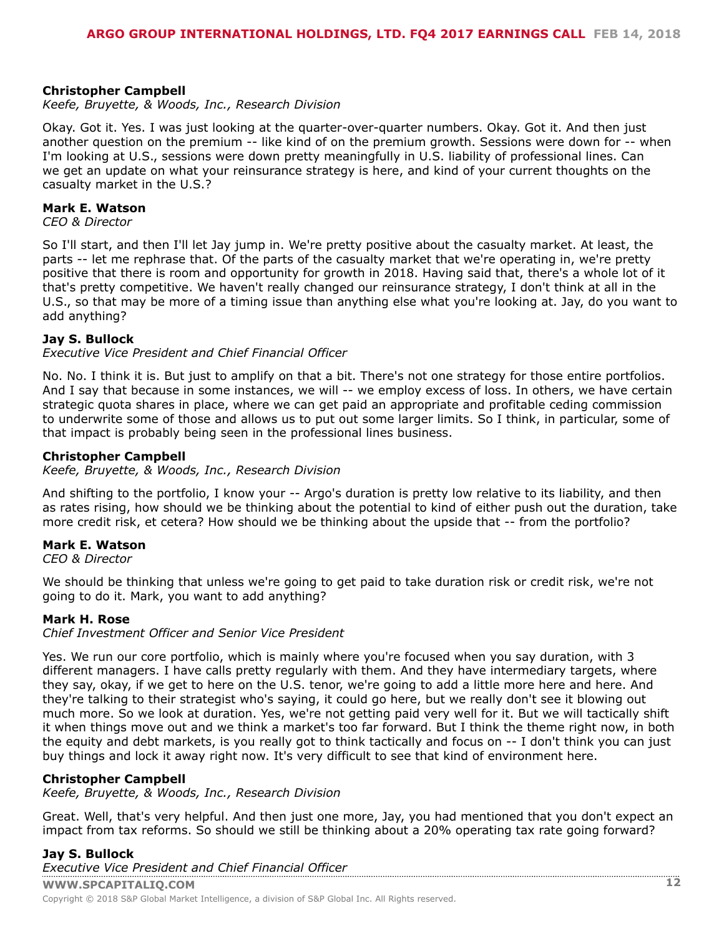#### **Christopher Campbell**

*Keefe, Bruyette, & Woods, Inc., Research Division*

Okay. Got it. Yes. I was just looking at the quarter-over-quarter numbers. Okay. Got it. And then just another question on the premium -- like kind of on the premium growth. Sessions were down for -- when I'm looking at U.S., sessions were down pretty meaningfully in U.S. liability of professional lines. Can we get an update on what your reinsurance strategy is here, and kind of your current thoughts on the casualty market in the U.S.?

#### **Mark E. Watson**

*CEO & Director*

So I'll start, and then I'll let Jay jump in. We're pretty positive about the casualty market. At least, the parts -- let me rephrase that. Of the parts of the casualty market that we're operating in, we're pretty positive that there is room and opportunity for growth in 2018. Having said that, there's a whole lot of it that's pretty competitive. We haven't really changed our reinsurance strategy, I don't think at all in the U.S., so that may be more of a timing issue than anything else what you're looking at. Jay, do you want to add anything?

#### **Jay S. Bullock**

*Executive Vice President and Chief Financial Officer*

No. No. I think it is. But just to amplify on that a bit. There's not one strategy for those entire portfolios. And I say that because in some instances, we will -- we employ excess of loss. In others, we have certain strategic quota shares in place, where we can get paid an appropriate and profitable ceding commission to underwrite some of those and allows us to put out some larger limits. So I think, in particular, some of that impact is probably being seen in the professional lines business.

#### **Christopher Campbell**

*Keefe, Bruyette, & Woods, Inc., Research Division*

And shifting to the portfolio, I know your -- Argo's duration is pretty low relative to its liability, and then as rates rising, how should we be thinking about the potential to kind of either push out the duration, take more credit risk, et cetera? How should we be thinking about the upside that -- from the portfolio?

#### **Mark E. Watson**

*CEO & Director*

We should be thinking that unless we're going to get paid to take duration risk or credit risk, we're not going to do it. Mark, you want to add anything?

#### **Mark H. Rose**

*Chief Investment Officer and Senior Vice President*

Yes. We run our core portfolio, which is mainly where you're focused when you say duration, with 3 different managers. I have calls pretty regularly with them. And they have intermediary targets, where they say, okay, if we get to here on the U.S. tenor, we're going to add a little more here and here. And they're talking to their strategist who's saying, it could go here, but we really don't see it blowing out much more. So we look at duration. Yes, we're not getting paid very well for it. But we will tactically shift it when things move out and we think a market's too far forward. But I think the theme right now, in both the equity and debt markets, is you really got to think tactically and focus on -- I don't think you can just buy things and lock it away right now. It's very difficult to see that kind of environment here.

#### **Christopher Campbell**

*Keefe, Bruyette, & Woods, Inc., Research Division*

Great. Well, that's very helpful. And then just one more, Jay, you had mentioned that you don't expect an impact from tax reforms. So should we still be thinking about a 20% operating tax rate going forward?

#### **Jay S. Bullock**

**WWW.SPCAPITALIQ.COM 12** Copyright © 2018 S&P Global Market Intelligence, a division of S&P Global Inc. All Rights reserved. *[Executive Vice President a](www.capitaliq.com)nd Chief Financial Officer*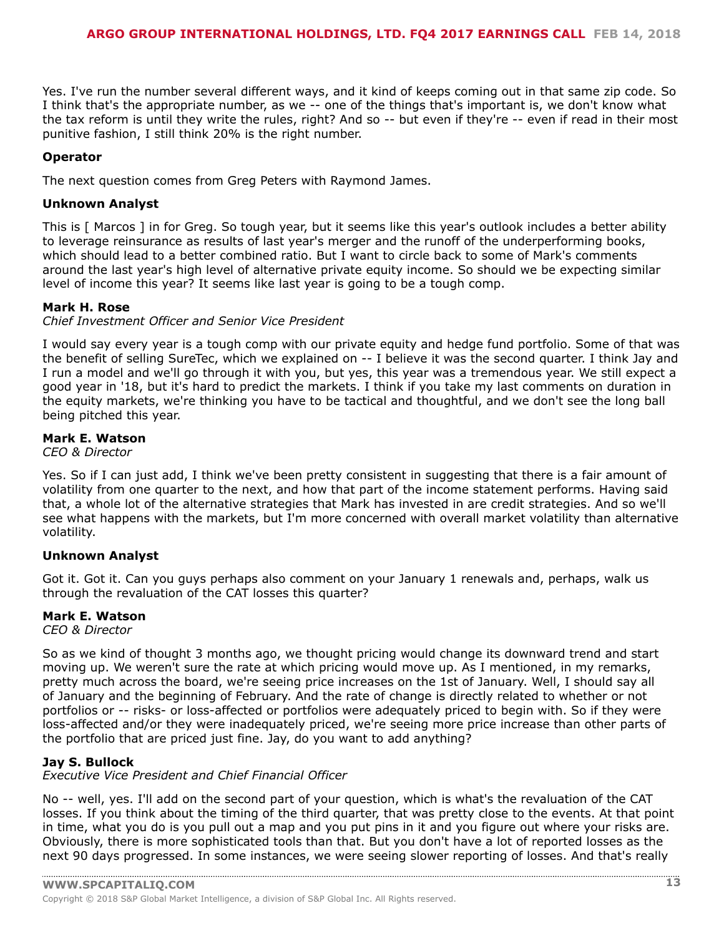Yes. I've run the number several different ways, and it kind of keeps coming out in that same zip code. So I think that's the appropriate number, as we -- one of the things that's important is, we don't know what the tax reform is until they write the rules, right? And so -- but even if they're -- even if read in their most punitive fashion, I still think 20% is the right number.

#### **Operator**

The next question comes from Greg Peters with Raymond James.

#### **Unknown Analyst**

This is [ Marcos ] in for Greg. So tough year, but it seems like this year's outlook includes a better ability to leverage reinsurance as results of last year's merger and the runoff of the underperforming books, which should lead to a better combined ratio. But I want to circle back to some of Mark's comments around the last year's high level of alternative private equity income. So should we be expecting similar level of income this year? It seems like last year is going to be a tough comp.

#### **Mark H. Rose**

*Chief Investment Officer and Senior Vice President*

I would say every year is a tough comp with our private equity and hedge fund portfolio. Some of that was the benefit of selling SureTec, which we explained on -- I believe it was the second quarter. I think Jay and I run a model and we'll go through it with you, but yes, this year was a tremendous year. We still expect a good year in '18, but it's hard to predict the markets. I think if you take my last comments on duration in the equity markets, we're thinking you have to be tactical and thoughtful, and we don't see the long ball being pitched this year.

#### **Mark E. Watson**

*CEO & Director*

Yes. So if I can just add, I think we've been pretty consistent in suggesting that there is a fair amount of volatility from one quarter to the next, and how that part of the income statement performs. Having said that, a whole lot of the alternative strategies that Mark has invested in are credit strategies. And so we'll see what happens with the markets, but I'm more concerned with overall market volatility than alternative volatility.

#### **Unknown Analyst**

Got it. Got it. Can you guys perhaps also comment on your January 1 renewals and, perhaps, walk us through the revaluation of the CAT losses this quarter?

#### **Mark E. Watson**

*CEO & Director*

So as we kind of thought 3 months ago, we thought pricing would change its downward trend and start moving up. We weren't sure the rate at which pricing would move up. As I mentioned, in my remarks, pretty much across the board, we're seeing price increases on the 1st of January. Well, I should say all of January and the beginning of February. And the rate of change is directly related to whether or not portfolios or -- risks- or loss-affected or portfolios were adequately priced to begin with. So if they were loss-affected and/or they were inadequately priced, we're seeing more price increase than other parts of the portfolio that are priced just fine. Jay, do you want to add anything?

#### **Jay S. Bullock**

*Executive Vice President and Chief Financial Officer*

No -- well, yes. I'll add on the second part of your question, which is what's the revaluation of the CAT losses. If you think about the timing of the third quarter, that was pretty close to the events. At that point in time, what you do is you pull out a map and you put pins in it and you figure out where your risks are. Obviously, there is more sophisticated tools than that. But you don't have a lot of reported losses as the next 90 days progressed. In some instances, we were seeing slower reporting of losses. And that's really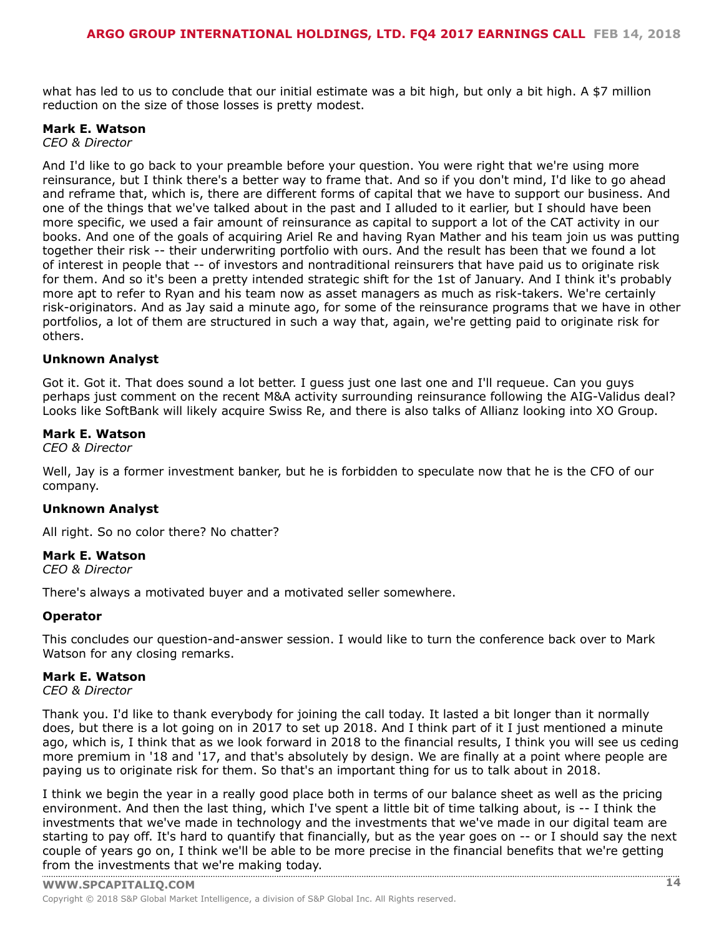what has led to us to conclude that our initial estimate was a bit high, but only a bit high. A \$7 million reduction on the size of those losses is pretty modest.

#### **Mark E. Watson**

*CEO & Director*

And I'd like to go back to your preamble before your question. You were right that we're using more reinsurance, but I think there's a better way to frame that. And so if you don't mind, I'd like to go ahead and reframe that, which is, there are different forms of capital that we have to support our business. And one of the things that we've talked about in the past and I alluded to it earlier, but I should have been more specific, we used a fair amount of reinsurance as capital to support a lot of the CAT activity in our books. And one of the goals of acquiring Ariel Re and having Ryan Mather and his team join us was putting together their risk -- their underwriting portfolio with ours. And the result has been that we found a lot of interest in people that -- of investors and nontraditional reinsurers that have paid us to originate risk for them. And so it's been a pretty intended strategic shift for the 1st of January. And I think it's probably more apt to refer to Ryan and his team now as asset managers as much as risk-takers. We're certainly risk-originators. And as Jay said a minute ago, for some of the reinsurance programs that we have in other portfolios, a lot of them are structured in such a way that, again, we're getting paid to originate risk for others.

#### **Unknown Analyst**

Got it. Got it. That does sound a lot better. I guess just one last one and I'll requeue. Can you guys perhaps just comment on the recent M&A activity surrounding reinsurance following the AIG-Validus deal? Looks like SoftBank will likely acquire Swiss Re, and there is also talks of Allianz looking into XO Group.

#### **Mark E. Watson**

*CEO & Director*

Well, Jay is a former investment banker, but he is forbidden to speculate now that he is the CFO of our company.

#### **Unknown Analyst**

All right. So no color there? No chatter?

#### **Mark E. Watson**

*CEO & Director*

There's always a motivated buyer and a motivated seller somewhere.

#### **Operator**

This concludes our question-and-answer session. I would like to turn the conference back over to Mark Watson for any closing remarks.

#### **Mark E. Watson**

*CEO & Director*

Thank you. I'd like to thank everybody for joining the call today. It lasted a bit longer than it normally does, but there is a lot going on in 2017 to set up 2018. And I think part of it I just mentioned a minute ago, which is, I think that as we look forward in 2018 to the financial results, I think you will see us ceding more premium in '18 and '17, and that's absolutely by design. We are finally at a point where people are paying us to originate risk for them. So that's an important thing for us to talk about in 2018.

I think we begin the year in a really good place both in terms of our balance sheet as well as the pricing environment. And then the last thing, which I've spent a little bit of time talking about, is -- I think the investments that we've made in technology and the investments that we've made in our digital team are starting to pay off. It's hard to quantify that financially, but as the year goes on -- or I should say the next couple of years go on, I think we'll be able to be more precise in the financial benefits that we're getting from the [investments](www.capitaliq.com) that we're making today.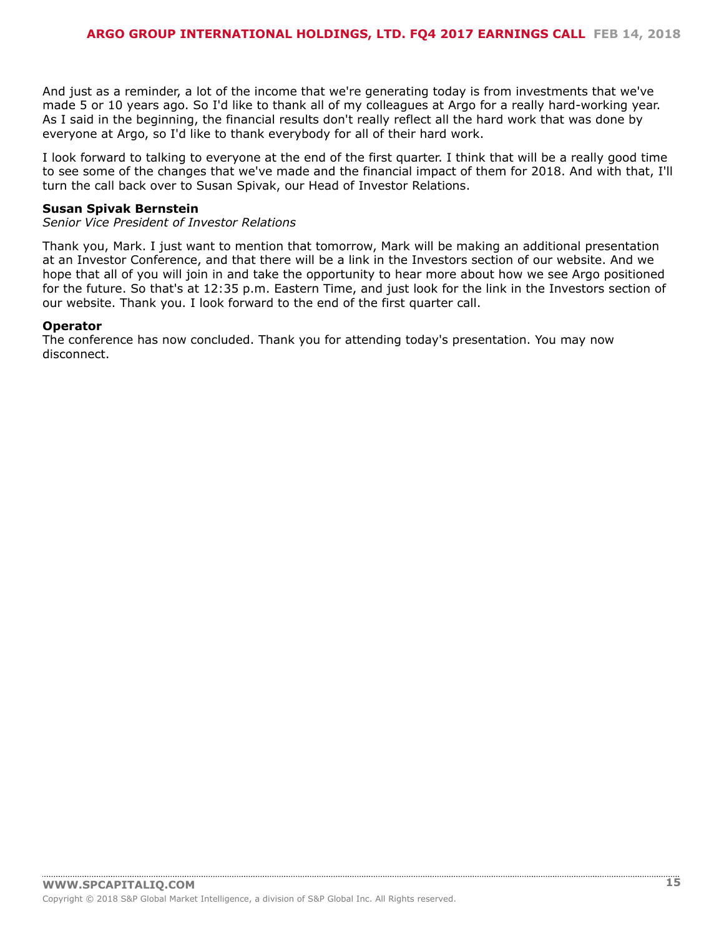And just as a reminder, a lot of the income that we're generating today is from investments that we've made 5 or 10 years ago. So I'd like to thank all of my colleagues at Argo for a really hard-working year. As I said in the beginning, the financial results don't really reflect all the hard work that was done by everyone at Argo, so I'd like to thank everybody for all of their hard work.

I look forward to talking to everyone at the end of the first quarter. I think that will be a really good time to see some of the changes that we've made and the financial impact of them for 2018. And with that, I'll turn the call back over to Susan Spivak, our Head of Investor Relations.

#### **Susan Spivak Bernstein**

*Senior Vice President of Investor Relations*

Thank you, Mark. I just want to mention that tomorrow, Mark will be making an additional presentation at an Investor Conference, and that there will be a link in the Investors section of our website. And we hope that all of you will join in and take the opportunity to hear more about how we see Argo positioned for the future. So that's at 12:35 p.m. Eastern Time, and just look for the link in the Investors section of our website. Thank you. I look forward to the end of the first quarter call.

#### **Operator**

The conference has now concluded. Thank you for attending today's presentation. You may now disconnect.